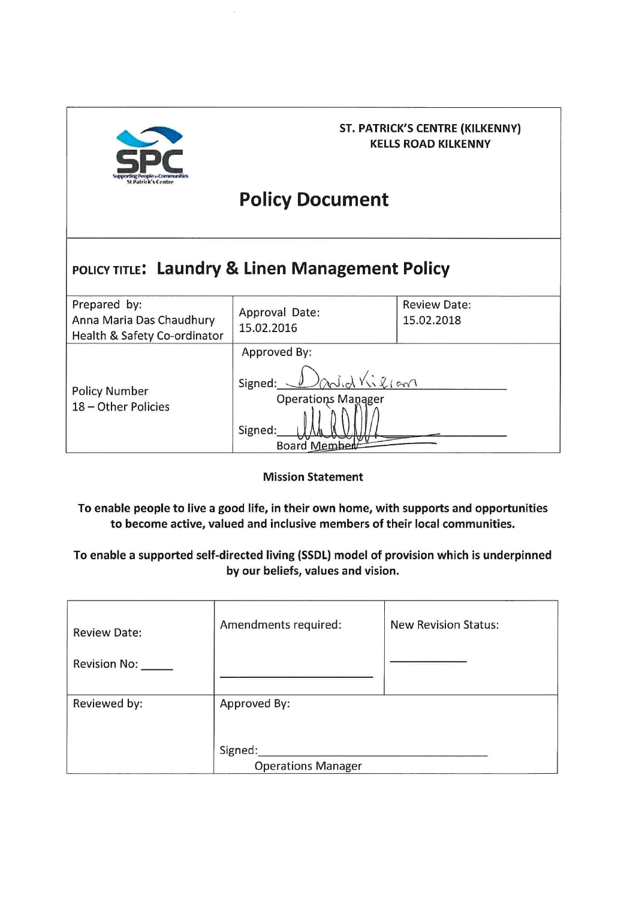

# **ST. PATRICK'S CENTRE (KILKENNY) KELLS ROAD KILKENNY**

# **Policy Document**

# POLICY TITLE: Laundry & Linen Management Policy

| Prepared by:<br>Anna Maria Das Chaudhury<br>Health & Safety Co-ordinator | Approval Date:<br>15.02.2016                                                    | <b>Review Date:</b><br>15.02.2018 |
|--------------------------------------------------------------------------|---------------------------------------------------------------------------------|-----------------------------------|
| <b>Policy Number</b><br>18 - Other Policies                              | Approved By:<br>adid Villiam<br>Signed:<br><b>Operations Manager</b><br>Signed: |                                   |
|                                                                          | <b>Board Member</b>                                                             |                                   |

#### **Mission Statement**

To enable people to live a good life, in their own home, with supports and opportunities to become active, valued and inclusive members of their local communities.

# To enable a supported self-directed living (SSDL) model of provision which is underpinned by our beliefs, values and vision.

| <b>Review Date:</b><br>Revision No: | Amendments required:                 | <b>New Revision Status:</b> |
|-------------------------------------|--------------------------------------|-----------------------------|
| Reviewed by:                        | Approved By:                         |                             |
|                                     | Signed:<br><b>Operations Manager</b> |                             |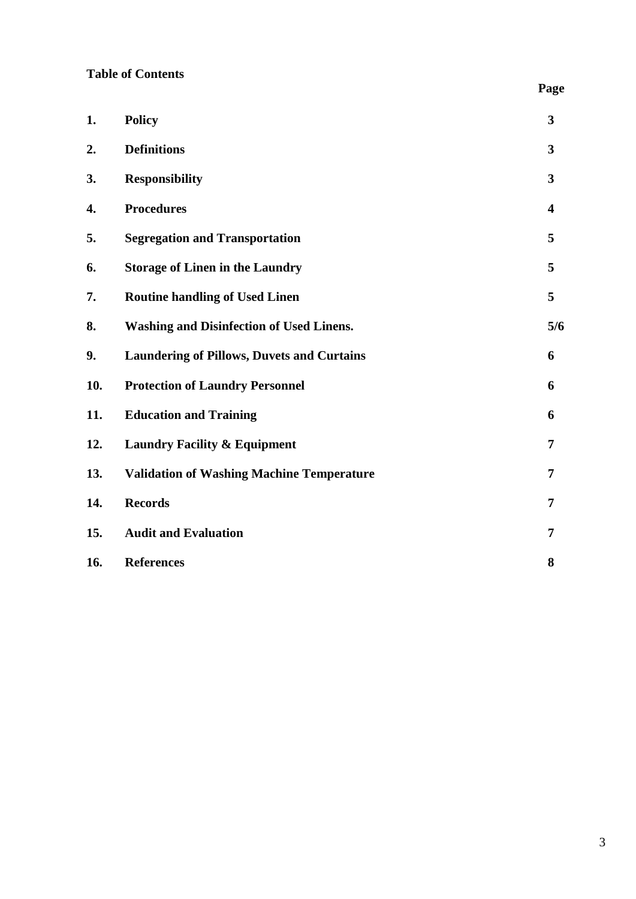# **Table of Contents**

| 1.  | <b>Policy</b>                                     | 3                       |
|-----|---------------------------------------------------|-------------------------|
| 2.  | <b>Definitions</b>                                | $\mathbf{3}$            |
| 3.  | <b>Responsibility</b>                             | 3                       |
| 4.  | <b>Procedures</b>                                 | $\overline{\mathbf{4}}$ |
| 5.  | <b>Segregation and Transportation</b>             | 5                       |
| 6.  | <b>Storage of Linen in the Laundry</b>            | 5                       |
| 7.  | <b>Routine handling of Used Linen</b>             | 5                       |
| 8.  | <b>Washing and Disinfection of Used Linens.</b>   | 5/6                     |
| 9.  | <b>Laundering of Pillows, Duvets and Curtains</b> | 6                       |
| 10. | <b>Protection of Laundry Personnel</b>            | 6                       |
| 11. | <b>Education and Training</b>                     | 6                       |
| 12. | <b>Laundry Facility &amp; Equipment</b>           | 7                       |
| 13. | <b>Validation of Washing Machine Temperature</b>  | 7                       |
| 14. | <b>Records</b>                                    | 7                       |
| 15. | <b>Audit and Evaluation</b>                       | 7                       |
| 16. | <b>References</b>                                 | 8                       |

 **Page**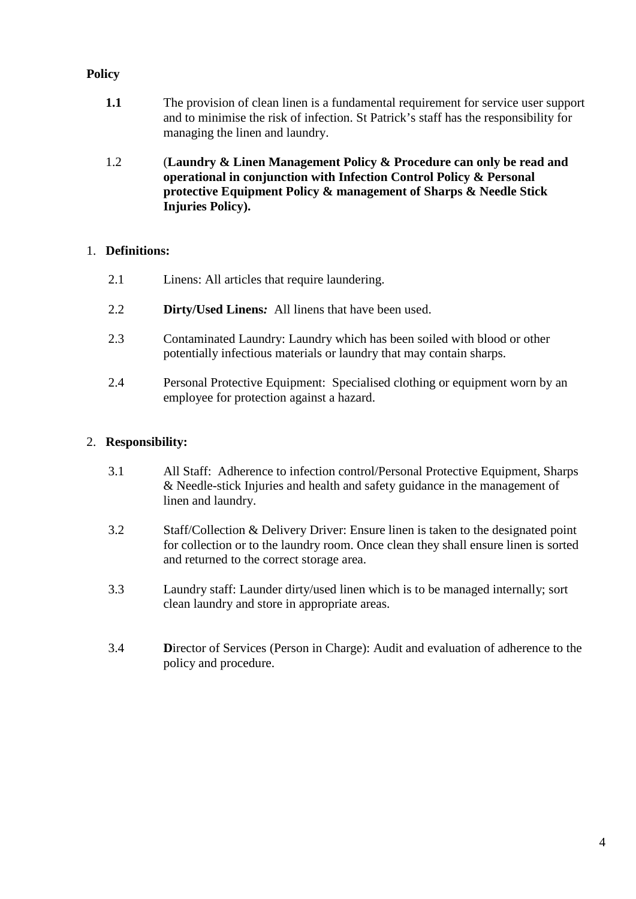# **Policy**

- **1.1** The provision of clean linen is a fundamental requirement for service user support and to minimise the risk of infection. St Patrick's staff has the responsibility for managing the linen and laundry.
- 1.2 (**Laundry & Linen Management Policy & Procedure can only be read and operational in conjunction with Infection Control Policy & Personal protective Equipment Policy & management of Sharps & Needle Stick Injuries Policy).**

#### 1. **Definitions:**

- 2.1 Linens: All articles that require laundering.
- 2.2 **Dirty/Used Linens***:* All linens that have been used.
- 2.3 Contaminated Laundry: Laundry which has been soiled with blood or other potentially infectious materials or laundry that may contain sharps.
- 2.4 Personal Protective Equipment: Specialised clothing or equipment worn by an employee for protection against a hazard.

# 2. **Responsibility:**

- 3.1 All Staff: Adherence to infection control/Personal Protective Equipment, Sharps & Needle-stick Injuries and health and safety guidance in the management of linen and laundry.
- 3.2 Staff/Collection & Delivery Driver: Ensure linen is taken to the designated point for collection or to the laundry room. Once clean they shall ensure linen is sorted and returned to the correct storage area.
- 3.3 Laundry staff: Launder dirty/used linen which is to be managed internally; sort clean laundry and store in appropriate areas.
- 3.4 **D**irector of Services (Person in Charge): Audit and evaluation of adherence to the policy and procedure.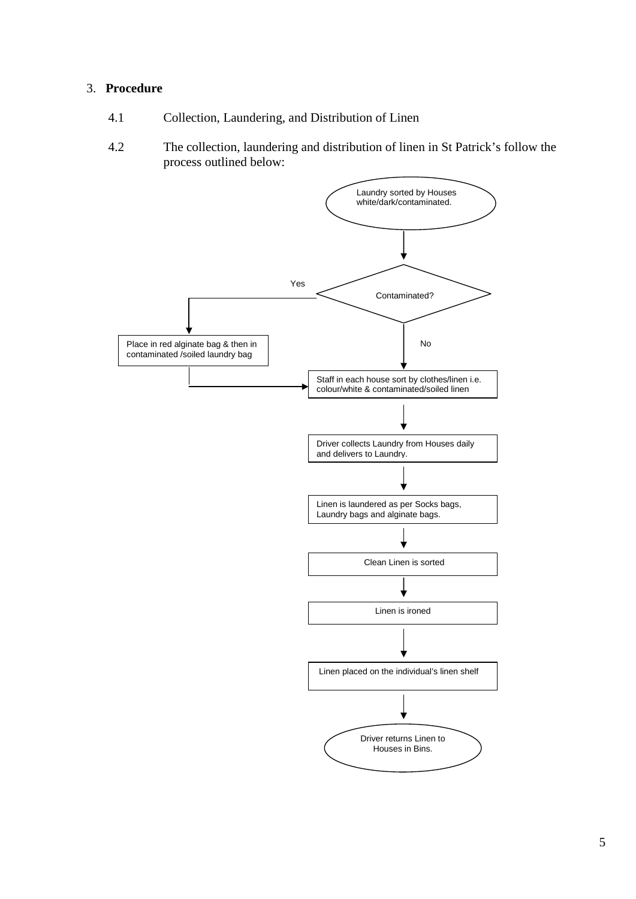#### 3. **Procedure**

- 4.1 Collection, Laundering, and Distribution of Linen
- 4.2 The collection, laundering and distribution of linen in St Patrick's follow the process outlined below:

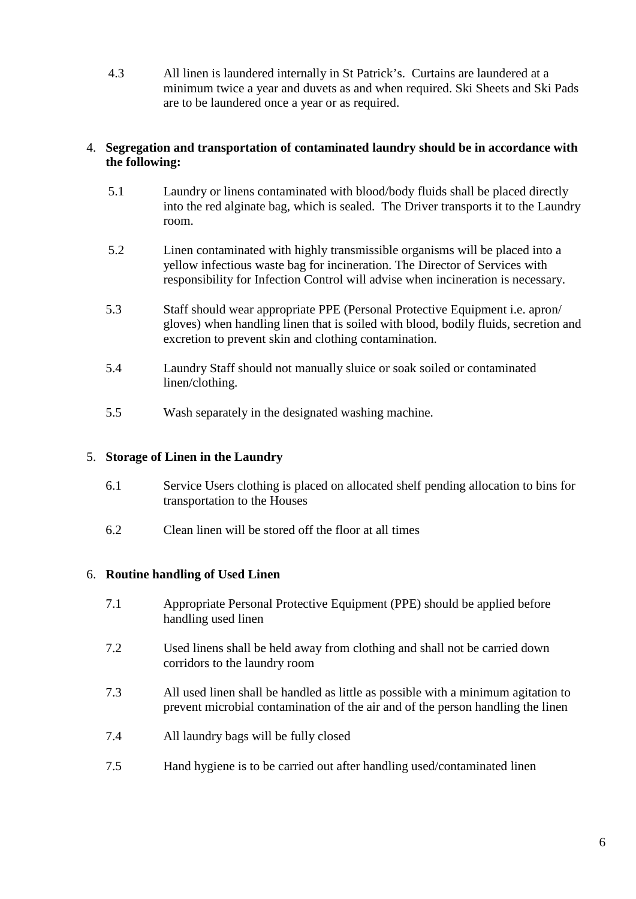4.3 All linen is laundered internally in St Patrick's. Curtains are laundered at a minimum twice a year and duvets as and when required. Ski Sheets and Ski Pads are to be laundered once a year or as required.

#### 4. **Segregation and transportation of contaminated laundry should be in accordance with the following:**

- 5.1 Laundry or linens contaminated with blood/body fluids shall be placed directly into the red alginate bag, which is sealed. The Driver transports it to the Laundry room.
- 5.2 Linen contaminated with highly transmissible organisms will be placed into a yellow infectious waste bag for incineration. The Director of Services with responsibility for Infection Control will advise when incineration is necessary.
- 5.3 Staff should wear appropriate PPE (Personal Protective Equipment i.e. apron/ gloves) when handling linen that is soiled with blood, bodily fluids, secretion and excretion to prevent skin and clothing contamination.
- 5.4 Laundry Staff should not manually sluice or soak soiled or contaminated linen/clothing.
- 5.5 Wash separately in the designated washing machine.

#### 5. **Storage of Linen in the Laundry**

- 6.1 Service Users clothing is placed on allocated shelf pending allocation to bins for transportation to the Houses
- 6.2 Clean linen will be stored off the floor at all times

#### 6. **Routine handling of Used Linen**

- 7.1 Appropriate Personal Protective Equipment (PPE) should be applied before handling used linen
- 7.2 Used linens shall be held away from clothing and shall not be carried down corridors to the laundry room
- 7.3 All used linen shall be handled as little as possible with a minimum agitation to prevent microbial contamination of the air and of the person handling the linen
- 7.4 All laundry bags will be fully closed
- 7.5 Hand hygiene is to be carried out after handling used/contaminated linen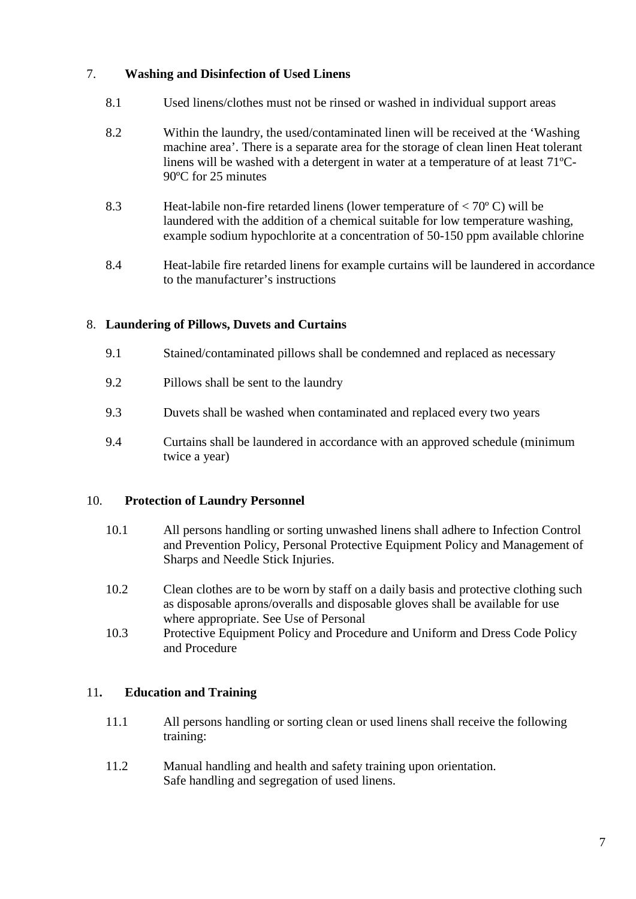# 7. **Washing and Disinfection of Used Linens**

- 8.1 Used linens/clothes must not be rinsed or washed in individual support areas
- 8.2 Within the laundry, the used/contaminated linen will be received at the 'Washing machine area'. There is a separate area for the storage of clean linen Heat tolerant linens will be washed with a detergent in water at a temperature of at least 71ºC-90ºC for 25 minutes
- 8.3 Heat-labile non-fire retarded linens (lower temperature of < 70º C) will be laundered with the addition of a chemical suitable for low temperature washing, example sodium hypochlorite at a concentration of 50-150 ppm available chlorine
- 8.4 Heat-labile fire retarded linens for example curtains will be laundered in accordance to the manufacturer's instructions

# 8. **Laundering of Pillows, Duvets and Curtains**

- 9.1 Stained/contaminated pillows shall be condemned and replaced as necessary
- 9.2 Pillows shall be sent to the laundry
- 9.3 Duvets shall be washed when contaminated and replaced every two years
- 9.4 Curtains shall be laundered in accordance with an approved schedule (minimum twice a year)

#### 10. **Protection of Laundry Personnel**

- 10.1 All persons handling or sorting unwashed linens shall adhere to Infection Control and Prevention Policy, Personal Protective Equipment Policy and Management of Sharps and Needle Stick Injuries.
- 10.2 Clean clothes are to be worn by staff on a daily basis and protective clothing such as disposable aprons/overalls and disposable gloves shall be available for use where appropriate. See Use of Personal
- 10.3 Protective Equipment Policy and Procedure and Uniform and Dress Code Policy and Procedure

#### 11**. Education and Training**

- 11.1 All persons handling or sorting clean or used linens shall receive the following training:
- 11.2 Manual handling and health and safety training upon orientation. Safe handling and segregation of used linens.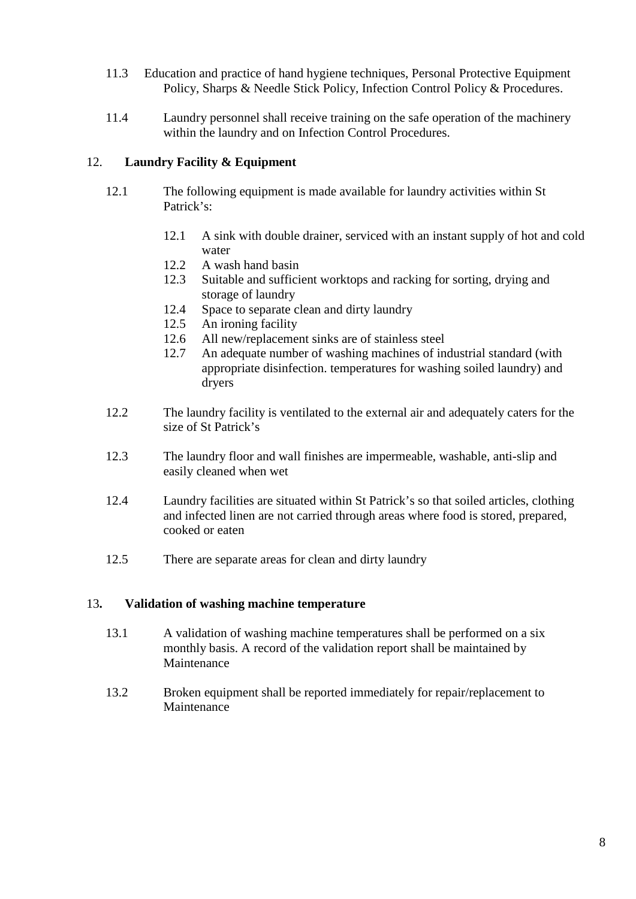- 11.3 Education and practice of hand hygiene techniques, Personal Protective Equipment Policy, Sharps & Needle Stick Policy, Infection Control Policy & Procedures.
- 11.4 Laundry personnel shall receive training on the safe operation of the machinery within the laundry and on Infection Control Procedures.

# 12. **Laundry Facility & Equipment**

- 12.1 The following equipment is made available for laundry activities within St Patrick's:
	- 12.1 A sink with double drainer, serviced with an instant supply of hot and cold water
	- 12.2 A wash hand basin
	- 12.3 Suitable and sufficient worktops and racking for sorting, drying and storage of laundry
	- 12.4 Space to separate clean and dirty laundry
	- 12.5 An ironing facility
	- 12.6 All new/replacement sinks are of stainless steel
	- 12.7 An adequate number of washing machines of industrial standard (with appropriate disinfection. temperatures for washing soiled laundry) and dryers
- 12.2 The laundry facility is ventilated to the external air and adequately caters for the size of St Patrick's
- 12.3 The laundry floor and wall finishes are impermeable, washable, anti-slip and easily cleaned when wet
- 12.4 Laundry facilities are situated within St Patrick's so that soiled articles, clothing and infected linen are not carried through areas where food is stored, prepared, cooked or eaten
- 12.5 There are separate areas for clean and dirty laundry

#### 13**. Validation of washing machine temperature**

- 13.1 A validation of washing machine temperatures shall be performed on a six monthly basis. A record of the validation report shall be maintained by Maintenance
- 13.2 Broken equipment shall be reported immediately for repair/replacement to Maintenance